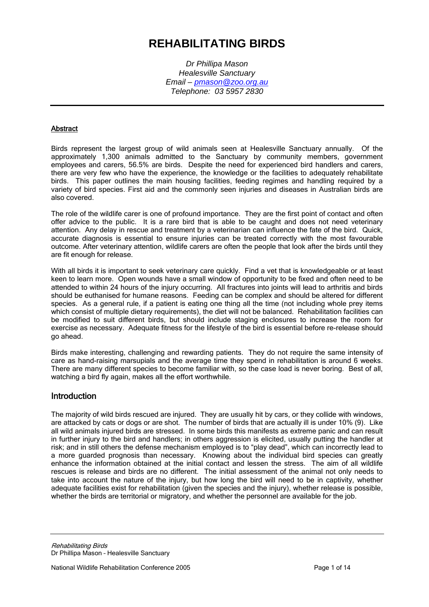# **REHABILITATING BIRDS**

*Dr Phillipa Mason Healesville Sanctuary Email – pmason@zoo.org.au Telephone: 03 5957 2830* 

### **Abstract**

Birds represent the largest group of wild animals seen at Healesville Sanctuary annually. Of the approximately 1,300 animals admitted to the Sanctuary by community members, government employees and carers, 56.5% are birds. Despite the need for experienced bird handlers and carers, there are very few who have the experience, the knowledge or the facilities to adequately rehabilitate birds. This paper outlines the main housing facilities, feeding regimes and handling required by a variety of bird species. First aid and the commonly seen injuries and diseases in Australian birds are also covered.

The role of the wildlife carer is one of profound importance. They are the first point of contact and often offer advice to the public. It is a rare bird that is able to be caught and does not need veterinary attention. Any delay in rescue and treatment by a veterinarian can influence the fate of the bird. Quick, accurate diagnosis is essential to ensure injuries can be treated correctly with the most favourable outcome. After veterinary attention, wildlife carers are often the people that look after the birds until they are fit enough for release.

With all birds it is important to seek veterinary care quickly. Find a vet that is knowledgeable or at least keen to learn more. Open wounds have a small window of opportunity to be fixed and often need to be attended to within 24 hours of the injury occurring. All fractures into joints will lead to arthritis and birds should be euthanised for humane reasons. Feeding can be complex and should be altered for different species. As a general rule, if a patient is eating one thing all the time (not including whole prey items which consist of multiple dietary requirements), the diet will not be balanced. Rehabilitation facilities can be modified to suit different birds, but should include staging enclosures to increase the room for exercise as necessary. Adequate fitness for the lifestyle of the bird is essential before re-release should go ahead.

Birds make interesting, challenging and rewarding patients. They do not require the same intensity of care as hand-raising marsupials and the average time they spend in rehabilitation is around 6 weeks. There are many different species to become familiar with, so the case load is never boring. Best of all, watching a bird fly again, makes all the effort worthwhile.

### Introduction

The majority of wild birds rescued are injured. They are usually hit by cars, or they collide with windows, are attacked by cats or dogs or are shot. The number of birds that are actually ill is under 10% (9). Like all wild animals injured birds are stressed. In some birds this manifests as extreme panic and can result in further injury to the bird and handlers; in others aggression is elicited, usually putting the handler at risk; and in still others the defense mechanism employed is to "play dead", which can incorrectly lead to a more guarded prognosis than necessary. Knowing about the individual bird species can greatly enhance the information obtained at the initial contact and lessen the stress. The aim of all wildlife rescues is release and birds are no different. The initial assessment of the animal not only needs to take into account the nature of the injury, but how long the bird will need to be in captivity, whether adequate facilities exist for rehabilitation (given the species and the injury), whether release is possible, whether the birds are territorial or migratory, and whether the personnel are available for the job.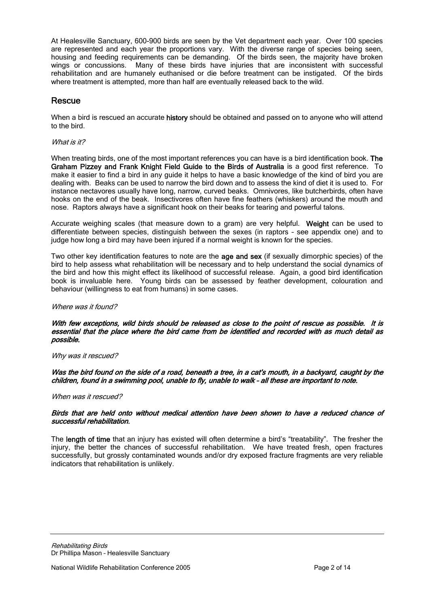At Healesville Sanctuary, 600-900 birds are seen by the Vet department each year. Over 100 species are represented and each year the proportions vary. With the diverse range of species being seen, housing and feeding requirements can be demanding. Of the birds seen, the majority have broken wings or concussions. Many of these birds have injuries that are inconsistent with successful rehabilitation and are humanely euthanised or die before treatment can be instigated. Of the birds where treatment is attempted, more than half are eventually released back to the wild.

## Rescue

When a bird is rescued an accurate history should be obtained and passed on to anyone who will attend to the bird.

#### What is it?

When treating birds, one of the most important references you can have is a bird identification book. The Graham Pizzey and Frank Knight Field Guide to the Birds of Australia is a good first reference. To make it easier to find a bird in any guide it helps to have a basic knowledge of the kind of bird you are dealing with. Beaks can be used to narrow the bird down and to assess the kind of diet it is used to. For instance nectavores usually have long, narrow, curved beaks. Omnivores, like butcherbirds, often have hooks on the end of the beak. Insectivores often have fine feathers (whiskers) around the mouth and nose. Raptors always have a significant hook on their beaks for tearing and powerful talons.

Accurate weighing scales (that measure down to a gram) are very helpful. Weight can be used to differentiate between species, distinguish between the sexes (in raptors – see appendix one) and to judge how long a bird may have been injured if a normal weight is known for the species.

Two other key identification features to note are the age and sex (if sexually dimorphic species) of the bird to help assess what rehabilitation will be necessary and to help understand the social dynamics of the bird and how this might effect its likelihood of successful release. Again, a good bird identification book is invaluable here. Young birds can be assessed by feather development, colouration and behaviour (willingness to eat from humans) in some cases.

#### Where was it found?

#### With few exceptions, wild birds should be released as close to the point of rescue as possible. It is essential that the place where the bird came from be identified and recorded with as much detail as possible.

Why was it rescued?

Was the bird found on the side of a road, beneath a tree, in a cat's mouth, in a backyard, caught by the children, found in a swimming pool, unable to fly, unable to walk – all these are important to note.

When was it rescued?

#### Birds that are held onto without medical attention have been shown to have a reduced chance of successful rehabilitation.

The length of time that an injury has existed will often determine a bird's "treatability". The fresher the injury, the better the chances of successful rehabilitation. We have treated fresh, open fractures successfully, but grossly contaminated wounds and/or dry exposed fracture fragments are very reliable indicators that rehabilitation is unlikely.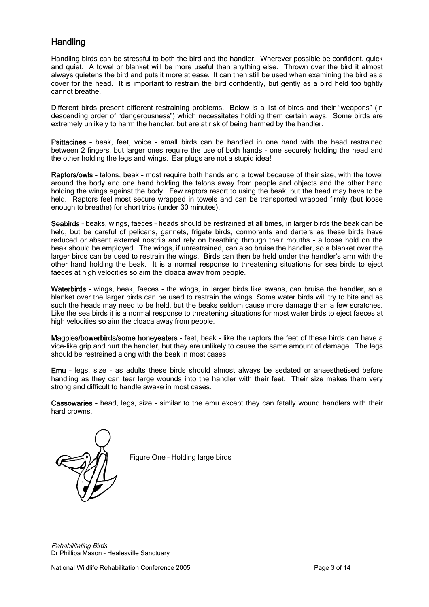# **Handling**

Handling birds can be stressful to both the bird and the handler. Wherever possible be confident, quick and quiet. A towel or blanket will be more useful than anything else. Thrown over the bird it almost always quietens the bird and puts it more at ease. It can then still be used when examining the bird as a cover for the head. It is important to restrain the bird confidently, but gently as a bird held too tightly cannot breathe.

Different birds present different restraining problems. Below is a list of birds and their "weapons" (in descending order of "dangerousness") which necessitates holding them certain ways. Some birds are extremely unlikely to harm the handler, but are at risk of being harmed by the handler.

Psittacines – beak, feet, voice - small birds can be handled in one hand with the head restrained between 2 fingers, but larger ones require the use of both hands - one securely holding the head and the other holding the legs and wings. Ear plugs are not a stupid idea!

Raptors/owls – talons, beak – most require both hands and a towel because of their size, with the towel around the body and one hand holding the talons away from people and objects and the other hand holding the wings against the body. Few raptors resort to using the beak, but the head may have to be held. Raptors feel most secure wrapped in towels and can be transported wrapped firmly (but loose enough to breathe) for short trips (under 30 minutes).

Seabirds – beaks, wings, faeces – heads should be restrained at all times, in larger birds the beak can be held, but be careful of pelicans, gannets, frigate birds, cormorants and darters as these birds have reduced or absent external nostrils and rely on breathing through their mouths - a loose hold on the beak should be employed. The wings, if unrestrained, can also bruise the handler, so a blanket over the larger birds can be used to restrain the wings. Birds can then be held under the handler's arm with the other hand holding the beak. It is a normal response to threatening situations for sea birds to eject faeces at high velocities so aim the cloaca away from people.

Waterbirds - wings, beak, faeces - the wings, in larger birds like swans, can bruise the handler, so a blanket over the larger birds can be used to restrain the wings. Some water birds will try to bite and as such the heads may need to be held, but the beaks seldom cause more damage than a few scratches. Like the sea birds it is a normal response to threatening situations for most water birds to eject faeces at high velocities so aim the cloaca away from people.

Magpies/bowerbirds/some honeyeaters – feet, beak – like the raptors the feet of these birds can have a vice-like grip and hurt the handler, but they are unlikely to cause the same amount of damage. The legs should be restrained along with the beak in most cases.

Emu – legs, size – as adults these birds should almost always be sedated or anaesthetised before handling as they can tear large wounds into the handler with their feet. Their size makes them very strong and difficult to handle awake in most cases.

Cassowaries – head, legs, size – similar to the emu except they can fatally wound handlers with their hard crowns.



Figure One – Holding large birds

Rehabilitating Birds Dr Phillipa Mason – Healesville Sanctuary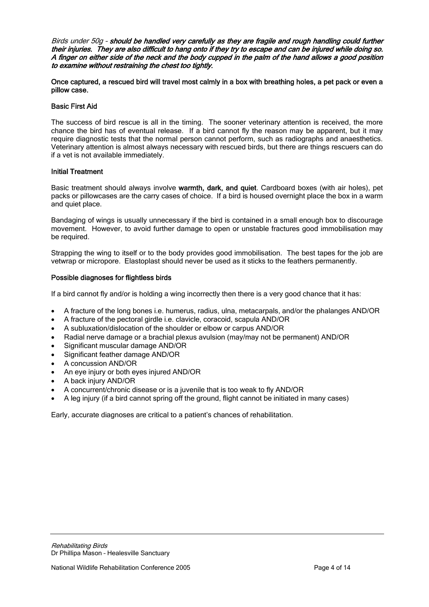Birds under 50g – should be handled very carefully as they are fragile and rough handling could further their injuries. They are also difficult to hang onto if they try to escape and can be injured while doing so. A finger on either side of the neck and the body cupped in the palm of the hand allows a good position to examine without restraining the chest too tightly.

Once captured, a rescued bird will travel most calmly in a box with breathing holes, a pet pack or even a pillow case.

#### Basic First Aid

The success of bird rescue is all in the timing. The sooner veterinary attention is received, the more chance the bird has of eventual release. If a bird cannot fly the reason may be apparent, but it may require diagnostic tests that the normal person cannot perform, such as radiographs and anaesthetics. Veterinary attention is almost always necessary with rescued birds, but there are things rescuers can do if a vet is not available immediately.

### Initial Treatment

Basic treatment should always involve warmth, dark, and quiet. Cardboard boxes (with air holes), pet packs or pillowcases are the carry cases of choice. If a bird is housed overnight place the box in a warm and quiet place.

Bandaging of wings is usually unnecessary if the bird is contained in a small enough box to discourage movement. However, to avoid further damage to open or unstable fractures good immobilisation may be required.

Strapping the wing to itself or to the body provides good immobilisation. The best tapes for the job are vetwrap or micropore. Elastoplast should never be used as it sticks to the feathers permanently.

#### Possible diagnoses for flightless birds

If a bird cannot fly and/or is holding a wing incorrectly then there is a very good chance that it has:

- A fracture of the long bones i.e. humerus, radius, ulna, metacarpals, and/or the phalanges AND/OR
- A fracture of the pectoral girdle i.e. clavicle, coracoid, scapula AND/OR
- A subluxation/dislocation of the shoulder or elbow or carpus AND/OR
- Radial nerve damage or a brachial plexus avulsion (may/may not be permanent) AND/OR
- Significant muscular damage AND/OR
- Significant feather damage AND/OR
- A concussion AND/OR
- An eye injury or both eyes injured AND/OR
- A back injury AND/OR
- A concurrent/chronic disease or is a juvenile that is too weak to fly AND/OR
- A leg injury (if a bird cannot spring off the ground, flight cannot be initiated in many cases)

Early, accurate diagnoses are critical to a patient's chances of rehabilitation.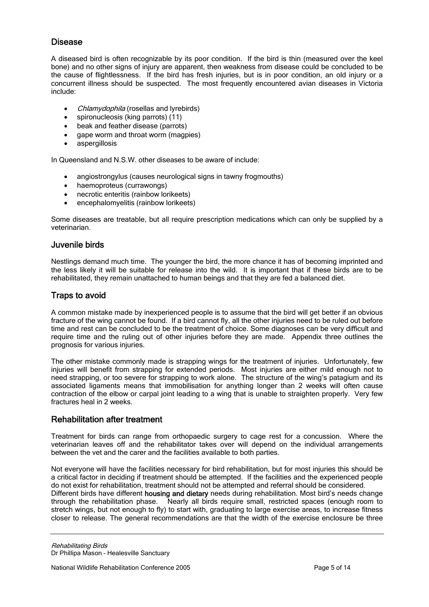# Disease

A diseased bird is often recognizable by its poor condition. If the bird is thin (measured over the keel bone) and no other signs of injury are apparent, then weakness from disease could be concluded to be the cause of flightlessness. If the bird has fresh injuries, but is in poor condition, an old injury or a concurrent illness should be suspected. The most frequently encountered avian diseases in Victoria include:

- *Chlamydophila* (rosellas and lyrebirds)
- spironucleosis (king parrots) (11)
- beak and feather disease (parrots)
- gape worm and throat worm (magpies)
- aspergillosis

In Queensland and N.S.W. other diseases to be aware of include:

- angiostrongylus (causes neurological signs in tawny frogmouths)<br>• haemoproteus (currawongs)
- haemoproteus (currawongs)
- necrotic enteritis (rainbow lorikeets)
- encephalomyelitis (rainbow lorikeets)

Some diseases are treatable, but all require prescription medications which can only be supplied by a veterinarian.

### Juvenile birds

Nestlings demand much time. The younger the bird, the more chance it has of becoming imprinted and the less likely it will be suitable for release into the wild. It is important that if these birds are to be rehabilitated, they remain unattached to human beings and that they are fed a balanced diet.

# Traps to avoid

A common mistake made by inexperienced people is to assume that the bird will get better if an obvious fracture of the wing cannot be found. If a bird cannot fly, all the other injuries need to be ruled out before time and rest can be concluded to be the treatment of choice. Some diagnoses can be very difficult and require time and the ruling out of other injuries before they are made. Appendix three outlines the prognosis for various injuries.

The other mistake commonly made is strapping wings for the treatment of injuries. Unfortunately, few injuries will benefit from strapping for extended periods. Most injuries are either mild enough not to need strapping, or too severe for strapping to work alone. The structure of the wing's patagium and its associated ligaments means that immobilisation for anything longer than 2 weeks will often cause contraction of the elbow or carpal joint leading to a wing that is unable to straighten properly. Very few fractures heal in 2 weeks.

# Rehabilitation after treatment

Treatment for birds can range from orthopaedic surgery to cage rest for a concussion. Where the veterinarian leaves off and the rehabilitator takes over will depend on the individual arrangements between the vet and the carer and the facilities available to both parties.

Not everyone will have the facilities necessary for bird rehabilitation, but for most injuries this should be a critical factor in deciding if treatment should be attempted. If the facilities and the experienced people do not exist for rehabilitation, treatment should not be attempted and referral should be considered. Different birds have different housing and dietary needs during rehabilitation. Most bird's needs change through the rehabilitation phase. Nearly all birds require small, restricted spaces (enough room to stretch wings, but not enough to fly) to start with, graduating to large exercise areas, to increase fitness closer to release. The general recommendations are that the width of the exercise enclosure be three

Rehabilitating Birds Dr Phillipa Mason – Healesville Sanctuary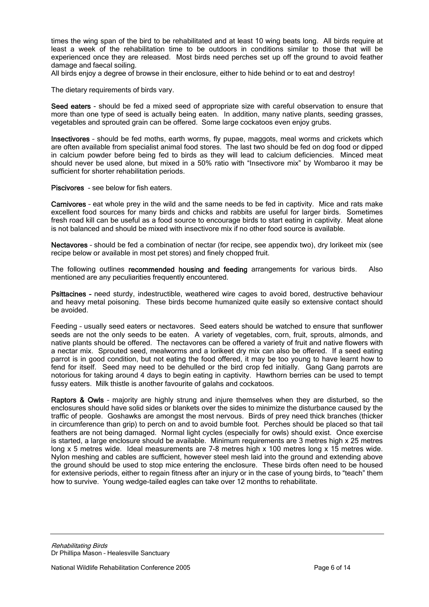times the wing span of the bird to be rehabilitated and at least 10 wing beats long. All birds require at least a week of the rehabilitation time to be outdoors in conditions similar to those that will be experienced once they are released. Most birds need perches set up off the ground to avoid feather damage and faecal soiling.

All birds enjoy a degree of browse in their enclosure, either to hide behind or to eat and destroy!

The dietary requirements of birds vary.

Seed eaters - should be fed a mixed seed of appropriate size with careful observation to ensure that more than one type of seed is actually being eaten. In addition, many native plants, seeding grasses, vegetables and sprouted grain can be offered. Some large cockatoos even enjoy grubs.

Insectivores – should be fed moths, earth worms, fly pupae, maggots, meal worms and crickets which are often available from specialist animal food stores. The last two should be fed on dog food or dipped in calcium powder before being fed to birds as they will lead to calcium deficiencies. Minced meat should never be used alone, but mixed in a 50% ratio with "Insectivore mix" by Wombaroo it may be sufficient for shorter rehabilitation periods.

Piscivores - see below for fish eaters.

Carnivores – eat whole prey in the wild and the same needs to be fed in captivity. Mice and rats make excellent food sources for many birds and chicks and rabbits are useful for larger birds. Sometimes fresh road kill can be useful as a food source to encourage birds to start eating in captivity. Meat alone is not balanced and should be mixed with insectivore mix if no other food source is available.

Nectavores - should be fed a combination of nectar (for recipe, see appendix two), dry lorikeet mix (see recipe below or available in most pet stores) and finely chopped fruit.

The following outlines recommended housing and feeding arrangements for various birds. Also mentioned are any peculiarities frequently encountered.

Psittacines – need sturdy, indestructible, weathered wire cages to avoid bored, destructive behaviour and heavy metal poisoning. These birds become humanized quite easily so extensive contact should be avoided.

Feeding – usually seed eaters or nectavores. Seed eaters should be watched to ensure that sunflower seeds are not the only seeds to be eaten. A variety of vegetables, corn, fruit, sprouts, almonds, and native plants should be offered. The nectavores can be offered a variety of fruit and native flowers with a nectar mix. Sprouted seed, mealworms and a lorikeet dry mix can also be offered. If a seed eating parrot is in good condition, but not eating the food offered, it may be too young to have learnt how to fend for itself. Seed may need to be dehulled or the bird crop fed initially. Gang Gang parrots are notorious for taking around 4 days to begin eating in captivity. Hawthorn berries can be used to tempt fussy eaters. Milk thistle is another favourite of galahs and cockatoos.

Raptors & Owls – majority are highly strung and injure themselves when they are disturbed, so the enclosures should have solid sides or blankets over the sides to minimize the disturbance caused by the traffic of people. Goshawks are amongst the most nervous. Birds of prey need thick branches (thicker in circumference than grip) to perch on and to avoid bumble foot. Perches should be placed so that tail feathers are not being damaged. Normal light cycles (especially for owls) should exist. Once exercise is started, a large enclosure should be available. Minimum requirements are 3 metres high x 25 metres long x 5 metres wide. Ideal measurements are 7-8 metres high x 100 metres long x 15 metres wide. Nylon meshing and cables are sufficient, however steel mesh laid into the ground and extending above the ground should be used to stop mice entering the enclosure. These birds often need to be housed for extensive periods, either to regain fitness after an injury or in the case of young birds, to "teach" them how to survive. Young wedge-tailed eagles can take over 12 months to rehabilitate.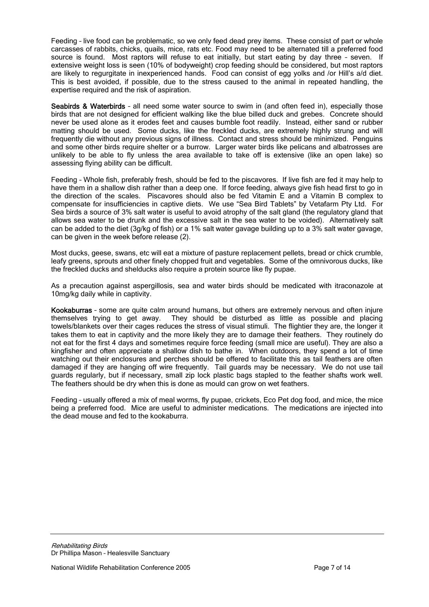Feeding – live food can be problematic, so we only feed dead prey items. These consist of part or whole carcasses of rabbits, chicks, quails, mice, rats etc. Food may need to be alternated till a preferred food source is found. Most raptors will refuse to eat initially, but start eating by day three – seven. If extensive weight loss is seen (10% of bodyweight) crop feeding should be considered, but most raptors are likely to regurgitate in inexperienced hands. Food can consist of egg yolks and /or Hill's a/d diet. This is best avoided, if possible, due to the stress caused to the animal in repeated handling, the expertise required and the risk of aspiration.

Seabirds & Waterbirds - all need some water source to swim in (and often feed in), especially those birds that are not designed for efficient walking like the blue billed duck and grebes. Concrete should never be used alone as it erodes feet and causes bumble foot readily. Instead, either sand or rubber matting should be used. Some ducks, like the freckled ducks, are extremely highly strung and will frequently die without any previous signs of illness. Contact and stress should be minimized. Penguins and some other birds require shelter or a burrow. Larger water birds like pelicans and albatrosses are unlikely to be able to fly unless the area available to take off is extensive (like an open lake) so assessing flying ability can be difficult.

Feeding – Whole fish, preferably fresh, should be fed to the piscavores. If live fish are fed it may help to have them in a shallow dish rather than a deep one. If force feeding, always give fish head first to go in the direction of the scales. Piscavores should also be fed Vitamin E and a Vitamin B complex to compensate for insufficiencies in captive diets. We use "Sea Bird Tablets" by Vetafarm Pty Ltd. For Sea birds a source of 3% salt water is useful to avoid atrophy of the salt gland (the regulatory gland that allows sea water to be drunk and the excessive salt in the sea water to be voided). Alternatively salt can be added to the diet (3g/kg of fish) or a 1% salt water gavage building up to a 3% salt water gavage, can be given in the week before release (2).

Most ducks, geese, swans, etc will eat a mixture of pasture replacement pellets, bread or chick crumble, leafy greens, sprouts and other finely chopped fruit and vegetables. Some of the omnivorous ducks, like the freckled ducks and shelducks also require a protein source like fly pupae.

As a precaution against aspergillosis, sea and water birds should be medicated with itraconazole at 10mg/kg daily while in captivity.

Kookaburras – some are quite calm around humans, but others are extremely nervous and often injure themselves trying to get away. They should be disturbed as little as possible and placing towels/blankets over their cages reduces the stress of visual stimuli. The flightier they are, the longer it takes them to eat in captivity and the more likely they are to damage their feathers. They routinely do not eat for the first 4 days and sometimes require force feeding (small mice are useful). They are also a kingfisher and often appreciate a shallow dish to bathe in. When outdoors, they spend a lot of time watching out their enclosures and perches should be offered to facilitate this as tail feathers are often damaged if they are hanging off wire frequently. Tail guards may be necessary. We do not use tail guards regularly, but if necessary, small zip lock plastic bags stapled to the feather shafts work well. The feathers should be dry when this is done as mould can grow on wet feathers.

Feeding – usually offered a mix of meal worms, fly pupae, crickets, Eco Pet dog food, and mice, the mice being a preferred food. Mice are useful to administer medications. The medications are injected into the dead mouse and fed to the kookaburra.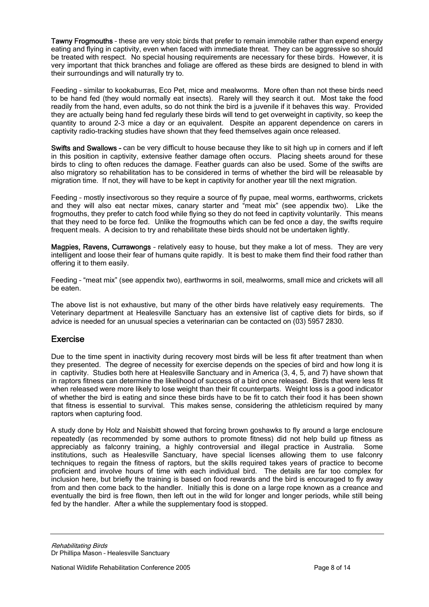Tawny Frogmouths – these are very stoic birds that prefer to remain immobile rather than expend energy eating and flying in captivity, even when faced with immediate threat. They can be aggressive so should be treated with respect. No special housing requirements are necessary for these birds. However, it is very important that thick branches and foliage are offered as these birds are designed to blend in with their surroundings and will naturally try to.

Feeding – similar to kookaburras, Eco Pet, mice and mealworms. More often than not these birds need to be hand fed (they would normally eat insects). Rarely will they search it out. Most take the food readily from the hand, even adults, so do not think the bird is a juvenile if it behaves this way. Provided they are actually being hand fed regularly these birds will tend to get overweight in captivity, so keep the quantity to around 2-3 mice a day or an equivalent. Despite an apparent dependence on carers in captivity radio-tracking studies have shown that they feed themselves again once released.

Swifts and Swallows - can be very difficult to house because they like to sit high up in corners and if left in this position in captivity, extensive feather damage often occurs. Placing sheets around for these birds to cling to often reduces the damage. Feather guards can also be used. Some of the swifts are also migratory so rehabilitation has to be considered in terms of whether the bird will be releasable by migration time. If not, they will have to be kept in captivity for another year till the next migration.

Feeding – mostly insectivorous so they require a source of fly pupae, meal worms, earthworms, crickets and they will also eat nectar mixes, canary starter and "meat mix" (see appendix two). Like the frogmouths, they prefer to catch food while flying so they do not feed in captivity voluntarily. This means that they need to be force fed. Unlike the frogmouths which can be fed once a day, the swifts require frequent meals. A decision to try and rehabilitate these birds should not be undertaken lightly.

Magpies, Ravens, Currawongs - relatively easy to house, but they make a lot of mess. They are very intelligent and loose their fear of humans quite rapidly. It is best to make them find their food rather than offering it to them easily.

Feeding – "meat mix" (see appendix two), earthworms in soil, mealworms, small mice and crickets will all be eaten.

The above list is not exhaustive, but many of the other birds have relatively easy requirements. The Veterinary department at Healesville Sanctuary has an extensive list of captive diets for birds, so if advice is needed for an unusual species a veterinarian can be contacted on (03) 5957 2830.

### Exercise

Due to the time spent in inactivity during recovery most birds will be less fit after treatment than when they presented. The degree of necessity for exercise depends on the species of bird and how long it is in captivity. Studies both here at Healesville Sanctuary and in America (3, 4, 5, and 7) have shown that in raptors fitness can determine the likelihood of success of a bird once released. Birds that were less fit when released were more likely to lose weight than their fit counterparts. Weight loss is a good indicator of whether the bird is eating and since these birds have to be fit to catch their food it has been shown that fitness is essential to survival. This makes sense, considering the athleticism required by many raptors when capturing food.

A study done by Holz and Naisbitt showed that forcing brown goshawks to fly around a large enclosure repeatedly (as recommended by some authors to promote fitness) did not help build up fitness as appreciably as falconry training, a highly controversial and illegal practice in Australia. Some institutions, such as Healesville Sanctuary, have special licenses allowing them to use falconry techniques to regain the fitness of raptors, but the skills required takes years of practice to become proficient and involve hours of time with each individual bird. The details are far too complex for inclusion here, but briefly the training is based on food rewards and the bird is encouraged to fly away from and then come back to the handler. Initially this is done on a large rope known as a creance and eventually the bird is free flown, then left out in the wild for longer and longer periods, while still being fed by the handler. After a while the supplementary food is stopped.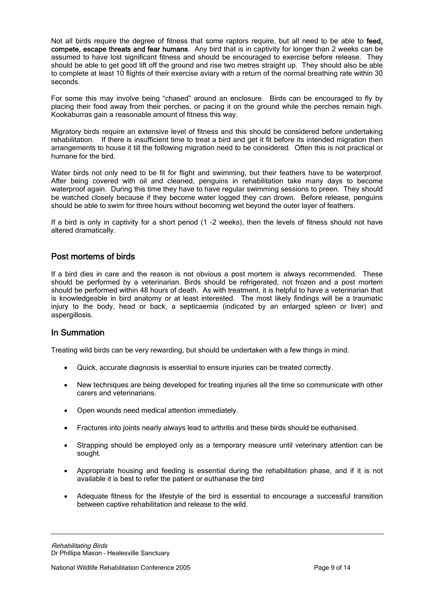Not all birds require the degree of fitness that some raptors require, but all need to be able to feed. compete, escape threats and fear humans. Any bird that is in captivity for longer than 2 weeks can be assumed to have lost significant fitness and should be encouraged to exercise before release. They should be able to get good lift off the ground and rise two metres straight up. They should also be able to complete at least 10 flights of their exercise aviary with a return of the normal breathing rate within 30 seconds.

For some this may involve being "chased" around an enclosure. Birds can be encouraged to fly by placing their food away from their perches, or pacing it on the ground while the perches remain high. Kookaburras gain a reasonable amount of fitness this way.

Migratory birds require an extensive level of fitness and this should be considered before undertaking rehabilitation. If there is insufficient time to treat a bird and get it fit before its intended migration then arrangements to house it till the following migration need to be considered. Often this is not practical or humane for the bird.

Water birds not only need to be fit for flight and swimming, but their feathers have to be waterproof. After being covered with oil and cleaned, penguins in rehabilitation take many days to become waterproof again. During this time they have to have regular swimming sessions to preen. They should be watched closely because if they become water logged they can drown. Before release, penguins should be able to swim for three hours without becoming wet beyond the outer layer of feathers.

If a bird is only in captivity for a short period (1 -2 weeks), then the levels of fitness should not have altered dramatically.

### Post mortems of birds

If a bird dies in care and the reason is not obvious a post mortem is always recommended. These should be performed by a veterinarian. Birds should be refrigerated, not frozen and a post mortem should be performed within 48 hours of death. As with treatment, it is helpful to have a veterinarian that is knowledgeable in bird anatomy or at least interested. The most likely findings will be a traumatic injury to the body, head or back, a septicaemia (indicated by an enlarged spleen or liver) and aspergillosis.

### In Summation

Treating wild birds can be very rewarding, but should be undertaken with a few things in mind.

- Quick, accurate diagnosis is essential to ensure injuries can be treated correctly.
- New techniques are being developed for treating injuries all the time so communicate with other carers and veterinarians.
- Open wounds need medical attention immediately.
- Fractures into joints nearly always lead to arthritis and these birds should be euthanised.
- Strapping should be employed only as a temporary measure until veterinary attention can be sought.
- Appropriate housing and feeding is essential during the rehabilitation phase, and if it is not available it is best to refer the patient or euthanase the bird
- Adequate fitness for the lifestyle of the bird is essential to encourage a successful transition between captive rehabilitation and release to the wild.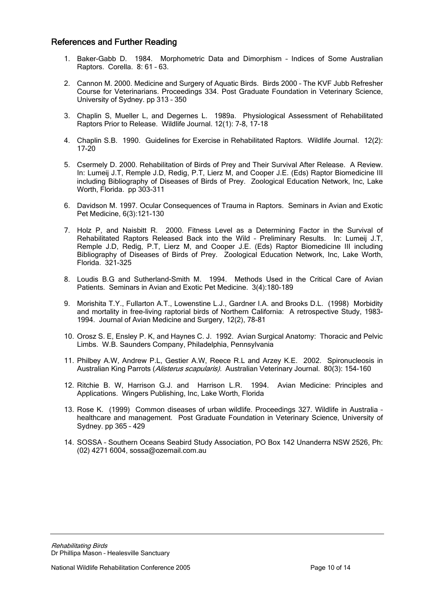## References and Further Reading

- 1. Baker-Gabb D. 1984. Morphometric Data and Dimorphism Indices of Some Australian Raptors. Corella. 8: 61 – 63.
- 2. Cannon M. 2000. Medicine and Surgery of Aquatic Birds. Birds 2000 The KVF Jubb Refresher Course for Veterinarians. Proceedings 334. Post Graduate Foundation in Veterinary Science, University of Sydney. pp 313 – 350
- 3. Chaplin S, Mueller L, and Degernes L. 1989a. Physiological Assessment of Rehabilitated Raptors Prior to Release. Wildlife Journal. 12(1): 7-8, 17-18
- 4. Chaplin S.B. 1990. Guidelines for Exercise in Rehabilitated Raptors. Wildlife Journal. 12(2): 17-20
- 5. Csermely D. 2000. Rehabilitation of Birds of Prey and Their Survival After Release. A Review. In: Lumeij J.T, Remple J.D, Redig, P.T, Lierz M, and Cooper J.E. (Eds) Raptor Biomedicine III including Bibliography of Diseases of Birds of Prey. Zoological Education Network, Inc, Lake Worth, Florida. pp 303-311
- 6. Davidson M. 1997. Ocular Consequences of Trauma in Raptors. Seminars in Avian and Exotic Pet Medicine, 6(3):121-130
- 7. Holz P, and Naisbitt R. 2000. Fitness Level as a Determining Factor in the Survival of Rehabilitated Raptors Released Back into the Wild – Preliminary Results. In: Lumeij J.T, Remple J.D, Redig, P.T, Lierz M, and Cooper J.E. (Eds) Raptor Biomedicine III including Bibliography of Diseases of Birds of Prey. Zoological Education Network, Inc, Lake Worth, Florida. 321-325
- 8. Loudis B.G and Sutherland-Smith M. 1994. Methods Used in the Critical Care of Avian Patients. Seminars in Avian and Exotic Pet Medicine. 3(4):180-189
- 9. Morishita T.Y., Fullarton A.T., Lowenstine L.J., Gardner I.A. and Brooks D.L. (1998) Morbidity and mortality in free-living raptorial birds of Northern California: A retrospective Study, 1983- 1994. Journal of Avian Medicine and Surgery, 12(2), 78-81
- 10. Orosz S. E, Ensley P. K, and Haynes C. J. 1992. Avian Surgical Anatomy: Thoracic and Pelvic Limbs. W.B. Saunders Company, Philadelphia, Pennsylvania
- 11. Philbey A.W, Andrew P.L, Gestier A.W, Reece R.L and Arzey K.E. 2002. Spironucleosis in Australian King Parrots (Alisterus scapularis). Australian Veterinary Journal. 80(3): 154-160
- 12. Ritchie B. W, Harrison G.J. and Harrison L.R. 1994. Avian Medicine: Principles and Applications. Wingers Publishing, Inc, Lake Worth, Florida
- 13. Rose K. (1999) Common diseases of urban wildlife. Proceedings 327. Wildlife in Australia healthcare and management. Post Graduate Foundation in Veterinary Science, University of Sydney. pp 365 – 429
- 14. SOSSA Southern Oceans Seabird Study Association, PO Box 142 Unanderra NSW 2526, Ph: (02) 4271 6004, sossa@ozemail.com.au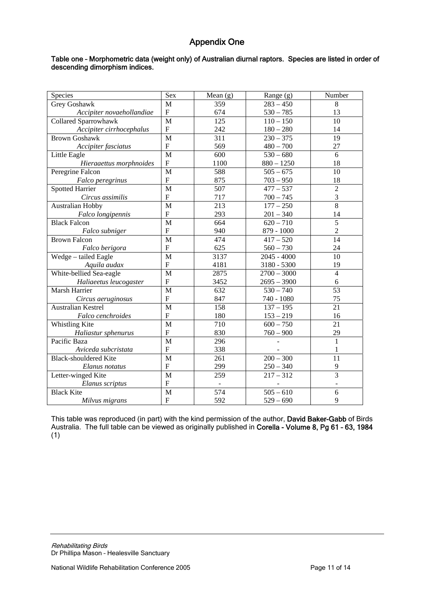# Appendix One

#### Table one – Morphometric data (weight only) of Australian diurnal raptors. Species are listed in order of descending dimorphism indices.

| Species                      | Sex            | Mean $(g)$ | Range $(g)$   | Number         |
|------------------------------|----------------|------------|---------------|----------------|
| Grey Goshawk                 | M              | 359        | $283 - 450$   | 8              |
| Accipiter novaehollandiae    | ${\bf F}$      | 674        | $530 - 785$   | 13             |
| <b>Collared Sparrowhawk</b>  | M              | 125        | $110 - 150$   | 10             |
| Accipiter cirrhocephalus     | ${\bf F}$      | 242        | $180 - 280$   | 14             |
| <b>Brown Goshawk</b>         | M              | 311        | $230 - 375$   | 19             |
| Accipiter fasciatus          | ${\bf F}$      | 569        | $480 - 700$   | 27             |
| Little Eagle                 | M              | 600        | $530 - 680$   | 6              |
| Hieraaettus morphnoides      | ${\bf F}$      | 1100       | $880 - 1250$  | 18             |
| Peregrine Falcon             | M              | 588        | $505 - 675$   | 10             |
| Falco peregrinus             | ${\bf F}$      | 875        | $703 - 950$   | 18             |
| <b>Spotted Harrier</b>       | M              | 507        | $477 - 537$   | $\overline{2}$ |
| Circus assimilis             | ${\bf F}$      | 717        | $700 - 745$   | $\mathfrak{Z}$ |
| <b>Australian Hobby</b>      | $\mathbf{M}$   | 213        | $177 - 250$   | 8              |
| Falco longipennis            | $\mathbf F$    | 293        | $201 - 340$   | 14             |
| <b>Black Falcon</b>          | $\mathbf{M}$   | 664        | $620 - 710$   | $\overline{5}$ |
| Falco subniger               | $\mathbf F$    | 940        | 879 - 1000    | $\overline{2}$ |
| <b>Brown Falcon</b>          | $\mathbf{M}$   | 474        | $417 - 520$   | 14             |
| Falco berigora               | $\mathbf F$    | 625        | $560 - 730$   | 24             |
| Wedge - tailed Eagle         | M              | 3137       | $2045 - 4000$ | 10             |
| Aquila audax                 | $\mathbf F$    | 4181       | 3180 - 5300   | 19             |
| White-bellied Sea-eagle      | M              | 2875       | $2700 - 3000$ | $\overline{4}$ |
| Haliaeetus leucogaster       | $\mathbf F$    | 3452       | $2695 - 3900$ | 6              |
| Marsh Harrier                | M              | 632        | $530 - 740$   | 53             |
| Circus aeruginosus           | $\mathbf F$    | 847        | 740 - 1080    | 75             |
| <b>Australian Kestrel</b>    | M              | 158        | $137 - 195$   | 21             |
| Falco cenchroides            | $\mathbf{F}$   | 180        | $153 - 219$   | 16             |
| Whistling Kite               | M              | 710        | $600 - 750$   | 21             |
| Haliastur sphenurus          | ${\bf F}$      | 830        | $760 - 900$   | 29             |
| Pacific Baza                 | M              | 296        |               | $\mathbf{1}$   |
| Aviceda subcristata          | ${\bf F}$      | 338        |               | 1              |
| <b>Black-shouldered Kite</b> | M              | 261        | $200 - 300$   | 11             |
| Elanus notatus               | $\mathbf F$    | 299        | $250 - 340$   | 9              |
| Letter-winged Kite           | M              | 259        | $217 - 312$   | $\overline{3}$ |
| Elanus scriptus              | $\overline{F}$ |            |               |                |
| <b>Black Kite</b>            | M              | 574        | $505 - 610$   | 6              |
| Milvus migrans               | ${\bf F}$      | 592        | $529 - 690$   | 9              |

This table was reproduced (in part) with the kind permission of the author, David Baker-Gabb of Birds Australia. The full table can be viewed as originally published in Corella - Volume 8, Pg 61 - 63, 1984 (1)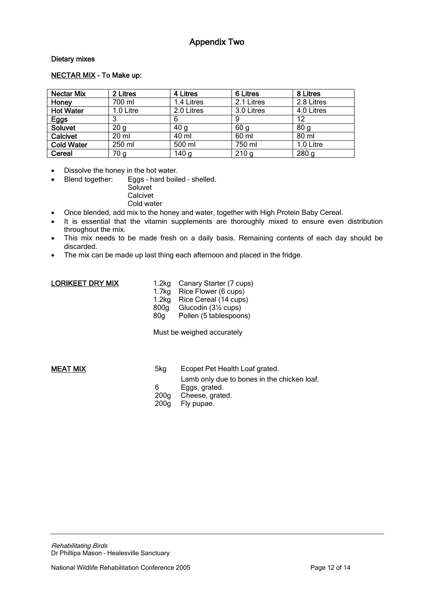# Appendix Two

### Dietary mixes

#### NECTAR MIX - To Make up:

| <b>Nectar Mix</b> | 2 Litres        | 4 Litres         | 6 Litres         | 8 Litres         |
|-------------------|-----------------|------------------|------------------|------------------|
| Honey             | 700 ml          | 1.4 Litres       | 2.1 Litres       | 2.8 Litres       |
| <b>Hot Water</b>  | 1.0 Litre       | 2.0 Litres       | 3.0 Litres       | 4.0 Litres       |
| Eggs              |                 | 6                | 9                | 12               |
| Soluvet           | 20 <sub>q</sub> | 40 <sub>q</sub>  | 60 <sub>q</sub>  | 80 <sub>q</sub>  |
| Calcivet          | 20 ml           | 40 ml            | 60 ml            | 80 ml            |
| <b>Cold Water</b> | 250 ml          | 500 ml           | 750 ml           | 1.0 Litre        |
| Cereal            | 70 g            | 140 <sub>g</sub> | 210 <sub>g</sub> | 280 <sub>g</sub> |

• Dissolve the honey in the hot water.

• Blend together: Eggs - hard boiled - shelled.

**Soluvet Calcivet** Cold water

- Once blended, add mix to the honey and water, together with High Protein Baby Cereal.
- It is essential that the vitamin supplements are thoroughly mixed to ensure even distribution throughout the mix.
- This mix needs to be made fresh on a daily basis. Remaining contents of each day should be discarded.
- The mix can be made up last thing each afternoon and placed in the fridge.

| LORIKEET DRY MIX | 1.2ka<br>1.7kg<br>1.2 <sub>kg</sub><br>800 <sub>q</sub><br>80 <sub>q</sub> | Canary Starter (7 cups)<br>Rice Flower (6 cups)<br>Rice Cereal (14 cups)<br>Glucodin (3½ cups)<br>Pollen (5 tablespoons) |  |
|------------------|----------------------------------------------------------------------------|--------------------------------------------------------------------------------------------------------------------------|--|
|                  | Must be weighed accurately                                                 |                                                                                                                          |  |

MEAT MIX 6 and 5kg Ecopet Pet Health Loaf grated. Lamb only due to bones in the chicken loaf.<br>6 Eggs. grated. 6 Eggs, grated.<br>200g Cheese, grate Cheese, grated. 200g Fly pupae.

Rehabilitating Birds Dr Phillipa Mason – Healesville Sanctuary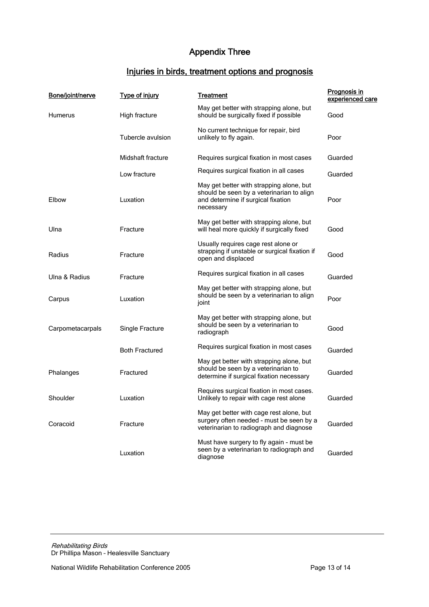# Appendix Three

# Injuries in birds, treatment options and prognosis

| Bone/joint/nerve | <b>Type of injury</b> | <u>Treatment</u>                                                                                                                         | Prognosis in<br>experienced care |
|------------------|-----------------------|------------------------------------------------------------------------------------------------------------------------------------------|----------------------------------|
| Humerus          | High fracture         | May get better with strapping alone, but<br>should be surgically fixed if possible                                                       | Good                             |
|                  | Tubercle avulsion     | No current technique for repair, bird<br>unlikely to fly again.                                                                          | Poor                             |
|                  | Midshaft fracture     | Requires surgical fixation in most cases                                                                                                 | Guarded                          |
|                  | Low fracture          | Requires surgical fixation in all cases                                                                                                  | Guarded                          |
| Elbow            | Luxation              | May get better with strapping alone, but<br>should be seen by a veterinarian to align<br>and determine if surgical fixation<br>necessary | Poor                             |
| Ulna             | Fracture              | May get better with strapping alone, but<br>will heal more quickly if surgically fixed                                                   | Good                             |
| Radius           | Fracture              | Usually requires cage rest alone or<br>strapping if unstable or surgical fixation if<br>open and displaced                               | Good                             |
| Ulna & Radius    | Fracture              | Requires surgical fixation in all cases                                                                                                  | Guarded                          |
| Carpus           | Luxation              | May get better with strapping alone, but<br>should be seen by a veterinarian to align<br>joint                                           | Poor                             |
| Carpometacarpals | Single Fracture       | May get better with strapping alone, but<br>should be seen by a veterinarian to<br>radiograph                                            | Good                             |
|                  | <b>Both Fractured</b> | Requires surgical fixation in most cases                                                                                                 | Guarded                          |
| Phalanges        | Fractured             | May get better with strapping alone, but<br>should be seen by a veterinarian to<br>determine if surgical fixation necessary              | Guarded                          |
| Shoulder         | Luxation              | Requires surgical fixation in most cases.<br>Unlikely to repair with cage rest alone                                                     | Guarded                          |
| Coracoid         | Fracture              | May get better with cage rest alone, but<br>surgery often needed - must be seen by a<br>veterinarian to radiograph and diagnose          | Guarded                          |
|                  | Luxation              | Must have surgery to fly again - must be<br>seen by a veterinarian to radiograph and<br>diagnose                                         | Guarded                          |